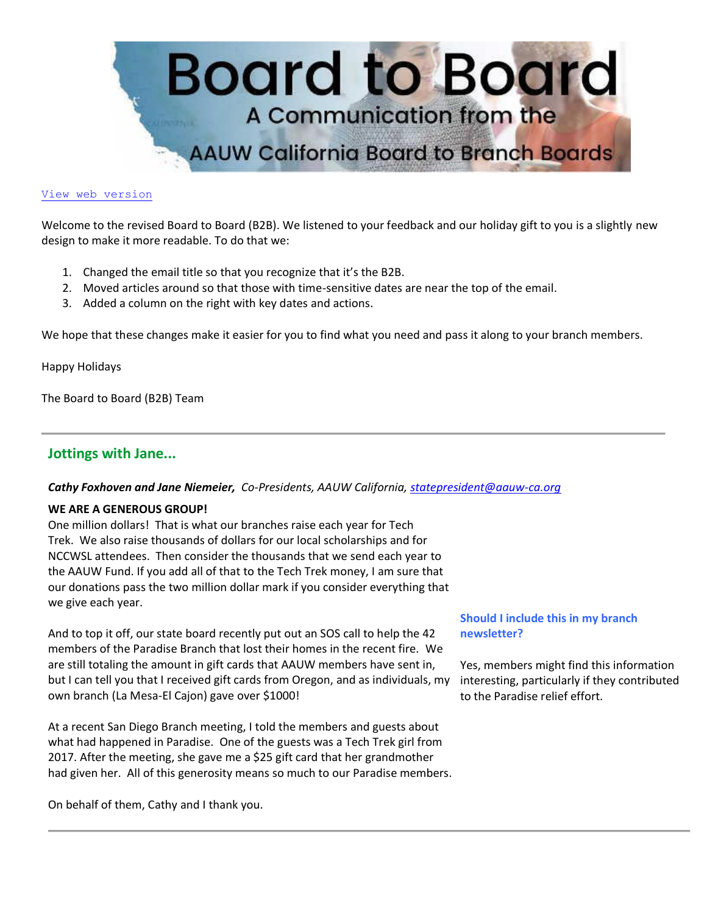

### [View web version](https://bor.aauw-ca.org/sendy/w/892iUf2Z3Hxblitd0dEvE47A/wVU892892Xu9PNq3IbigHQrC7A/HW892oHGUsyHKcGjqmAc763goA)

Welcome to the revised Board to Board (B2B). We listened to your feedback and our holiday gift to you is a slightly new design to make it more readable. To do that we:

- 1. Changed the email title so that you recognize that it's the B2B.
- 2. Moved articles around so that those with time-sensitive dates are near the top of the email.
- 3. Added a column on the right with key dates and actions.

We hope that these changes make it easier for you to find what you need and pass it along to your branch members.

Happy Holidays

The Board to Board (B2B) Team

# **Jottings with Jane...**

### *Cathy Foxhoven and Jane Niemeier, Co-Presidents, AAUW California, [statepresident@aauw-ca.org](mailto:statepresident@aauw-ca.org)*

### **WE ARE A GENEROUS GROUP!**

One million dollars! That is what our branches raise each year for Tech Trek. We also raise thousands of dollars for our local scholarships and for NCCWSL attendees. Then consider the thousands that we send each year to the AAUW Fund. If you add all of that to the Tech Trek money, I am sure that our donations pass the two million dollar mark if you consider everything that we give each year.

And to top it off, our state board recently put out an SOS call to help the 42 members of the Paradise Branch that lost their homes in the recent fire. We are still totaling the amount in gift cards that AAUW members have sent in, but I can tell you that I received gift cards from Oregon, and as individuals, my own branch (La Mesa-El Cajon) gave over \$1000!

At a recent San Diego Branch meeting, I told the members and guests about what had happened in Paradise. One of the guests was a Tech Trek girl from 2017. After the meeting, she gave me a \$25 gift card that her grandmother had given her. All of this generosity means so much to our Paradise members.

On behalf of them, Cathy and I thank you.

# **Should I include this in my branch newsletter?**

Yes, members might find this information interesting, particularly if they contributed to the Paradise relief effort.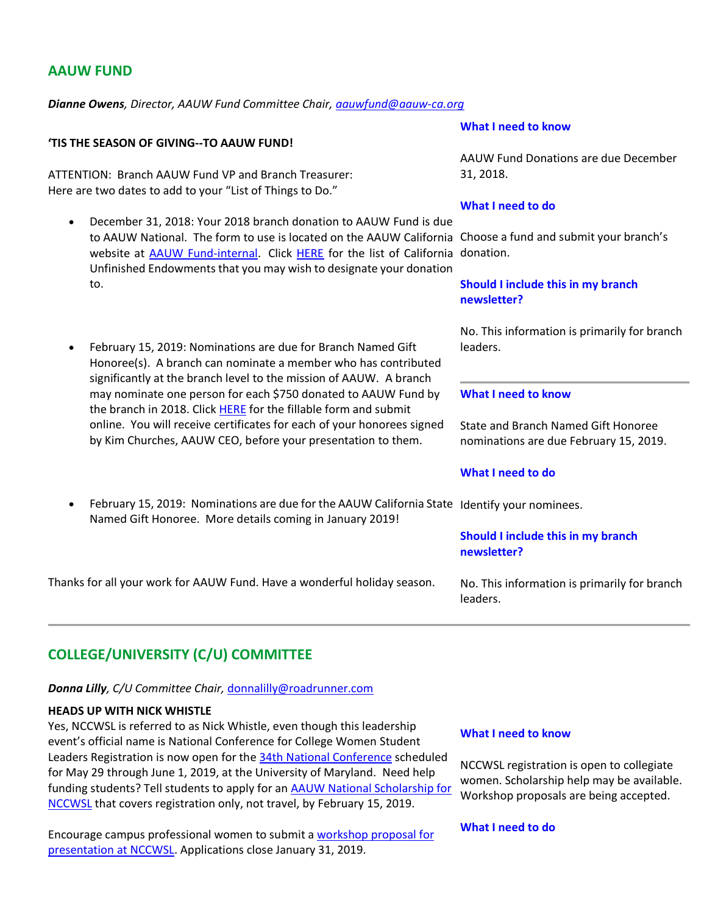# **AAUW FUND**

*Dianne Owens, Director, AAUW Fund Committee Chair, [aauwfund@aauw-ca.org](mailto:aauwfund@aauw-ca.org)*

### **'TIS THE SEASON OF GIVING--TO AAUW FUND!**

ATTENTION: Branch AAUW Fund VP and Branch Treasurer: Here are two dates to add to your "List of Things to Do."

- December 31, 2018: Your 2018 branch donation to AAUW Fund is due to AAUW National. The form to use is located on the AAUW California Choose a fund and submit your branch's website at **AAUW Fund-internal**. Click [HERE](https://bor.aauw-ca.org/sendy/l/892iUf2Z3Hxblitd0dEvE47A/EFrA8lIFIsy8M08uIzL0Kw/HW892oHGUsyHKcGjqmAc763goA) for the list of California donation. Unfinished Endowments that you may wish to designate your donation to.
- February 15, 2019: Nominations are due for Branch Named Gift Honoree(s). A branch can nominate a member who has contributed significantly at the branch level to the mission of AAUW. A branch may nominate one person for each \$750 donated to AAUW Fund by the branch in 2018. Click [HERE](https://bor.aauw-ca.org/sendy/l/892iUf2Z3Hxblitd0dEvE47A/sJpaQBUNnHI34QWSO892gyeg/HW892oHGUsyHKcGjqmAc763goA) for the fillable form and submit online. You will receive certificates for each of your honorees signed by Kim Churches, AAUW CEO, before your presentation to them.
- February 15, 2019: Nominations are due for the AAUW California State Identify your nominees. Named Gift Honoree. More details coming in January 2019!

Thanks for all your work for AAUW Fund. Have a wonderful holiday season.

### **What I need to know**

AAUW Fund Donations are due December 31, 2018.

#### **What I need to do**

## **Should I include this in my branch newsletter?**

No. This information is primarily for branch leaders.

### **What I need to know**

State and Branch Named Gift Honoree nominations are due February 15, 2019.

### **What I need to do**

**Should I include this in my branch** 

**newsletter?**

No. This information is primarily for branch leaders.

# **COLLEGE/UNIVERSITY (C/U) COMMITTEE**

### *Donna Lilly, C/U Committee Chair,* [donnalilly@roadrunner.com](mailto:donnalilly@roadrunner.com)

### **HEADS UP WITH NICK WHISTLE**

Yes, NCCWSL is referred to as Nick Whistle, even though this leadership event's official name is National Conference for College Women Student Leaders Registration is now open for th[e 34th National Conference](https://bor.aauw-ca.org/sendy/l/892iUf2Z3Hxblitd0dEvE47A/FvcQMDTft6MD2tt3gXf7638A/HW892oHGUsyHKcGjqmAc763goA) scheduled for May 29 through June 1, 2019, at the University of Maryland. Need help funding students? Tell students to apply for an [AAUW National Scholarship for](https://bor.aauw-ca.org/sendy/l/892iUf2Z3Hxblitd0dEvE47A/nudpEcimv763WeFRUNKL9j9g/HW892oHGUsyHKcGjqmAc763goA)  [NCCWSL](https://bor.aauw-ca.org/sendy/l/892iUf2Z3Hxblitd0dEvE47A/nudpEcimv763WeFRUNKL9j9g/HW892oHGUsyHKcGjqmAc763goA) that covers registration only, not travel, by February 15, 2019.

Encourage campus professional women to submit [a workshop proposal for](https://bor.aauw-ca.org/sendy/l/892iUf2Z3Hxblitd0dEvE47A/CqU4innPbC0OZoFSbs6q0w/HW892oHGUsyHKcGjqmAc763goA)  [presentation at NCCWSL.](https://bor.aauw-ca.org/sendy/l/892iUf2Z3Hxblitd0dEvE47A/CqU4innPbC0OZoFSbs6q0w/HW892oHGUsyHKcGjqmAc763goA) Applications close January 31, 2019.

#### **What I need to know**

NCCWSL registration is open to collegiate women. Scholarship help may be available. Workshop proposals are being accepted.

### **What I need to do**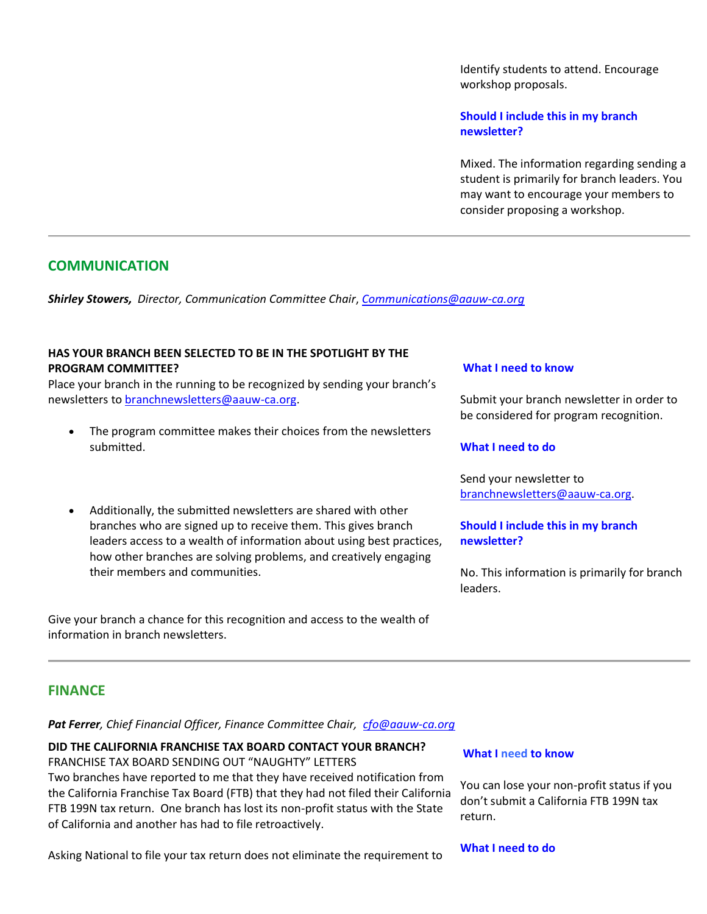Identify students to attend. Encourage workshop proposals.

**Should I include this in my branch newsletter?**

Mixed. The information regarding sending a student is primarily for branch leaders. You may want to encourage your members to consider proposing a workshop.

# **COMMUNICATION**

*Shirley Stowers, Director, Communication Committee Chair*, *[Communications@aauw-ca.org](mailto:Communications@aauw-ca.org)*

### **HAS YOUR BRANCH BEEN SELECTED TO BE IN THE SPOTLIGHT BY THE PROGRAM COMMITTEE?**

Place your branch in the running to be recognized by sending your branch's newsletters to [branchnewsletters@aauw-ca.org.](mailto:branchnewsletters@aauw-ca.org)

- The program committee makes their choices from the newsletters submitted.
- Additionally, the submitted newsletters are shared with other branches who are signed up to receive them. This gives branch leaders access to a wealth of information about using best practices, how other branches are solving problems, and creatively engaging their members and communities.

Give your branch a chance for this recognition and access to the wealth of information in branch newsletters.

### **What I need to know**

Submit your branch newsletter in order to be considered for program recognition.

### **What I need to do**

Send your newsletter to [branchnewsletters@aauw-ca.org.](mailto:branchnewsletters@aauw-ca.org)

## **Should I include this in my branch newsletter?**

No. This information is primarily for branch leaders.

## **FINANCE**

*Pat Ferrer, Chief Financial Officer, Finance Committee Chair, [cfo@aauw-ca.org](mailto:cfo@aauw-ca.org)*

# **DID THE CALIFORNIA FRANCHISE TAX BOARD CONTACT YOUR BRANCH?**

FRANCHISE TAX BOARD SENDING OUT "NAUGHTY" LETTERS Two branches have reported to me that they have received notification from the California Franchise Tax Board (FTB) that they had not filed their California FTB 199N tax return. One branch has lost its non-profit status with the State of California and another has had to file retroactively.

Asking National to file your tax return does not eliminate the requirement to

### **What I need to know**

You can lose your non-profit status if you don't submit a California FTB 199N tax return.

#### **What I need to do**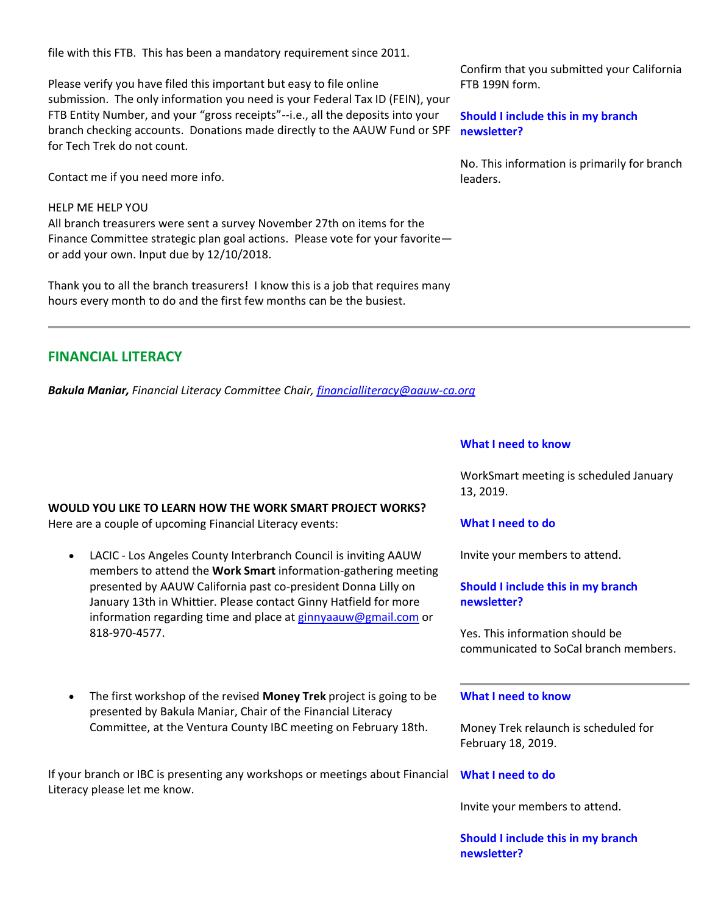file with this FTB. This has been a mandatory requirement since 2011.

Please verify you have filed this important but easy to file online submission. The only information you need is your Federal Tax ID (FEIN), your FTB Entity Number, and your "gross receipts"--i.e., all the deposits into your branch checking accounts. Donations made directly to the AAUW Fund or SPF for Tech Trek do not count.

Contact me if you need more info.

### HELP ME HELP YOU

All branch treasurers were sent a survey November 27th on items for the Finance Committee strategic plan goal actions. Please vote for your favorite or add your own. Input due by 12/10/2018.

Thank you to all the branch treasurers! I know this is a job that requires many hours every month to do and the first few months can be the busiest.

**FINANCIAL LITERACY**

*Bakula Maniar, Financial Literacy Committee Chair, [financialliteracy@aauw-ca.org](mailto:financialliteracy@aauw-ca.org)*

### **WOULD YOU LIKE TO LEARN HOW THE WORK SMART PROJECT WORKS?**

Here are a couple of upcoming Financial Literacy events:

- LACIC Los Angeles County Interbranch Council is inviting AAUW members to attend the **Work Smart** information-gathering meeting presented by AAUW California past co-president Donna Lilly on January 13th in Whittier. Please contact Ginny Hatfield for more information regarding time and place at [ginnyaauw@gmail.com](mailto:ginnyaauw@gmail.com) or 818-970-4577.
- The first workshop of the revised **Money Trek** project is going to be presented by Bakula Maniar, Chair of the Financial Literacy Committee, at the Ventura County IBC meeting on February 18th.

If your branch or IBC is presenting any workshops or meetings about Financial Literacy please let me know.

Confirm that you submitted your California FTB 199N form.

**Should I include this in my branch newsletter?**

No. This information is primarily for branch leaders.

#### **What I need to know**

WorkSmart meeting is scheduled January 13, 2019.

## **What I need to do**

Invite your members to attend.

# **Should I include this in my branch newsletter?**

Yes. This information should be communicated to SoCal branch members.

### **What I need to know**

Money Trek relaunch is scheduled for February 18, 2019.

## **What I need to do**

Invite your members to attend.

**Should I include this in my branch newsletter?**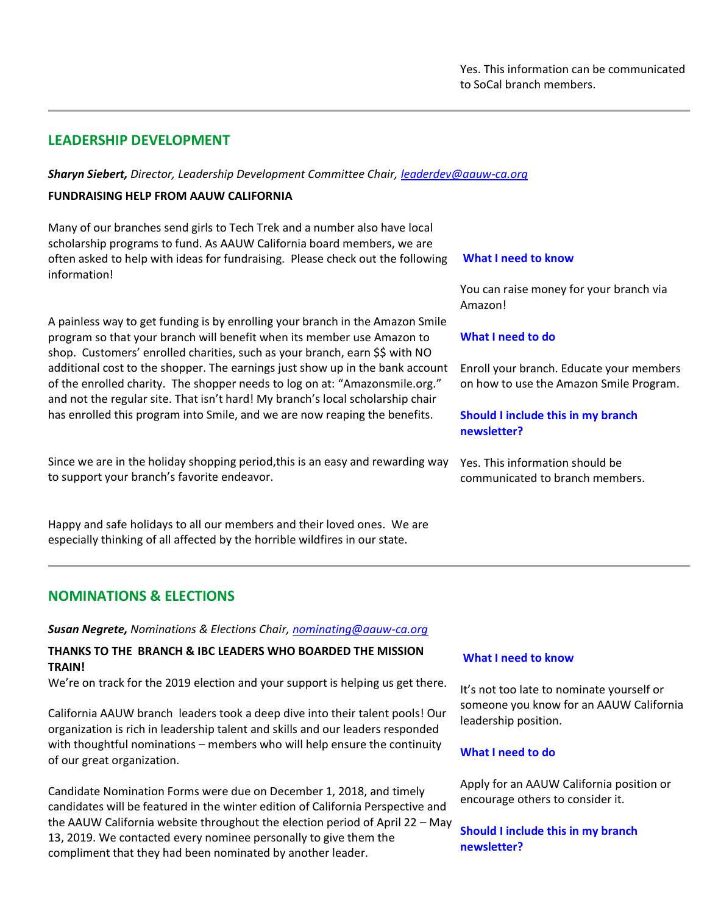# **LEADERSHIP DEVELOPMENT**

*Sharyn Siebert, Director, Leadership Development Committee Chair, [leaderdev@aauw-ca.org](mailto:leaderdev@aauw-ca.org)*

# **FUNDRAISING HELP FROM AAUW CALIFORNIA**

Many of our branches send girls to Tech Trek and a number also have local scholarship programs to fund. As AAUW California board members, we are often asked to help with ideas for fundraising. Please check out the following information!

A painless way to get funding is by enrolling your branch in the Amazon Smile program so that your branch will benefit when its member use Amazon to shop. Customers' enrolled charities, such as your branch, earn \$\$ with NO additional cost to the shopper. The earnings just show up in the bank account of the enrolled charity. The shopper needs to log on at: "Amazonsmile.org." and not the regular site. That isn't hard! My branch's local scholarship chair has enrolled this program into Smile, and we are now reaping the benefits.

Since we are in the holiday shopping period,this is an easy and rewarding way to support your branch's favorite endeavor.

Happy and safe holidays to all our members and their loved ones. We are especially thinking of all affected by the horrible wildfires in our state.

# **NOMINATIONS & ELECTIONS**

*Susan Negrete, Nominations & Elections Chair, [nominating@aauw-ca.org](mailto:nominating@aauw-ca.org)*

## **THANKS TO THE BRANCH & IBC LEADERS WHO BOARDED THE MISSION TRAIN!**

We're on track for the 2019 election and your support is helping us get there.

California AAUW branch leaders took a deep dive into their talent pools! Our organization is rich in leadership talent and skills and our leaders responded with thoughtful nominations – members who will help ensure the continuity of our great organization.

Candidate Nomination Forms were due on December 1, 2018, and timely candidates will be featured in the winter edition of California Perspective and the AAUW California website throughout the election period of April 22 – May 13, 2019. We contacted every nominee personally to give them the compliment that they had been nominated by another leader.

#### **What I need to know**

You can raise money for your branch via Amazon!

### **What I need to do**

Enroll your branch. Educate your members on how to use the Amazon Smile Program.

## **Should I include this in my branch newsletter?**

Yes. This information should be communicated to branch members.

#### **What I need to know**

It's not too late to nominate yourself or someone you know for an AAUW California leadership position.

### **What I need to do**

Apply for an AAUW California position or encourage others to consider it.

**Should I include this in my branch newsletter?**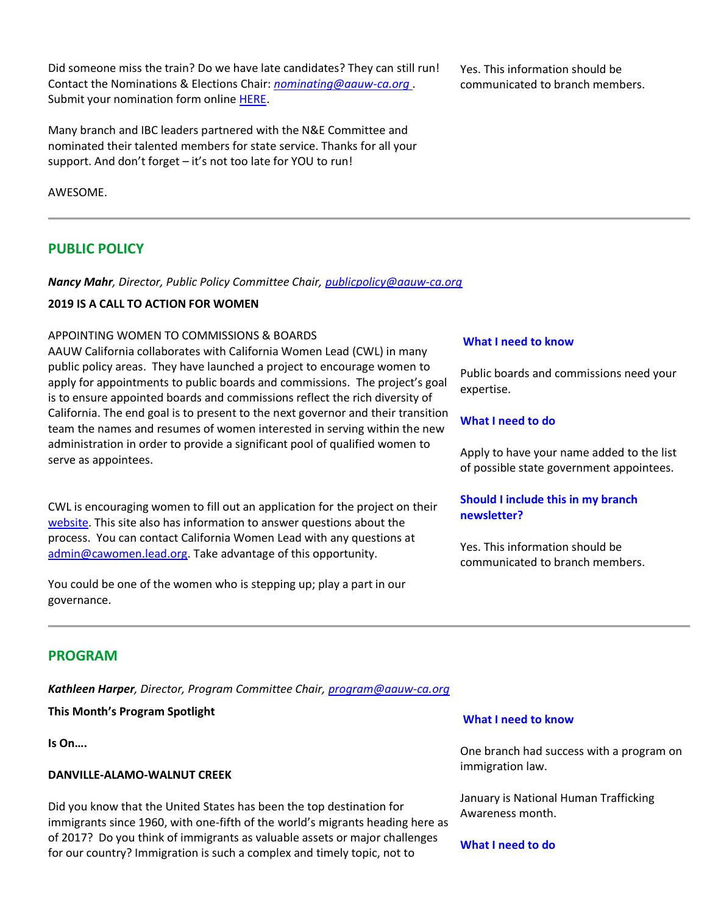Did someone miss the train? Do we have late candidates? They can still run! Contact the Nominations & Elections Chair: *[nominating@aauw-ca.org](mailto:nominating@aauw-ca.org)* . Submit your nomination form online [HERE.](https://bor.aauw-ca.org/sendy/l/892iUf2Z3Hxblitd0dEvE47A/tbyQNcOltB6gBfV2fszLMQ/HW892oHGUsyHKcGjqmAc763goA)

Many branch and IBC leaders partnered with the N&E Committee and nominated their talented members for state service. Thanks for all your support. And don't forget – it's not too late for YOU to run!

AWESOME.

# **PUBLIC POLICY**

*Nancy Mahr, Director, Public Policy Committee Chair, [publicpolicy@aauw-ca.org](mailto:PublicPolicy@aauw-ca.org)*

# **2019 IS A CALL TO ACTION FOR WOMEN**

### APPOINTING WOMEN TO COMMISSIONS & BOARDS

AAUW California collaborates with California Women Lead (CWL) in many public policy areas. They have launched a project to encourage women to apply for appointments to public boards and commissions. The project's goal is to ensure appointed boards and commissions reflect the rich diversity of California. The end goal is to present to the next governor and their transition team the names and resumes of women interested in serving within the new administration in order to provide a significant pool of qualified women to serve as appointees.

CWL is encouraging women to fill out an application for the project on their [website.](https://bor.aauw-ca.org/sendy/l/892iUf2Z3Hxblitd0dEvE47A/tAI8BIxraizpw60bRl84XQ/HW892oHGUsyHKcGjqmAc763goA) This site also has information to answer questions about the process. You can contact California Women Lead with any questions at [admin@cawomen.lead.org.](mailto:admin@cawomen.lead.org) Take advantage of this opportunity.

You could be one of the women who is stepping up; play a part in our governance.

Yes. This information should be communicated to branch members.

### **What I need to know**

Public boards and commissions need your expertise.

### **What I need to do**

Apply to have your name added to the list of possible state government appointees.

# **Should I include this in my branch newsletter?**

Yes. This information should be communicated to branch members.

# **PROGRAM**

*Kathleen Harper, Director, Program Committee Chair, [program@aauw-ca.org](mailto:program@aauw-ca.org)*

# **This Month's Program Spotlight**

**Is On….**

## **DANVILLE-ALAMO-WALNUT CREEK**

Did you know that the United States has been the top destination for immigrants since 1960, with one-fifth of the world's migrants heading here as of 2017? Do you think of immigrants as valuable assets or major challenges for our country? Immigration is such a complex and timely topic, not to

### **What I need to know**

One branch had success with a program on immigration law.

January is National Human Trafficking Awareness month.

### **What I need to do**